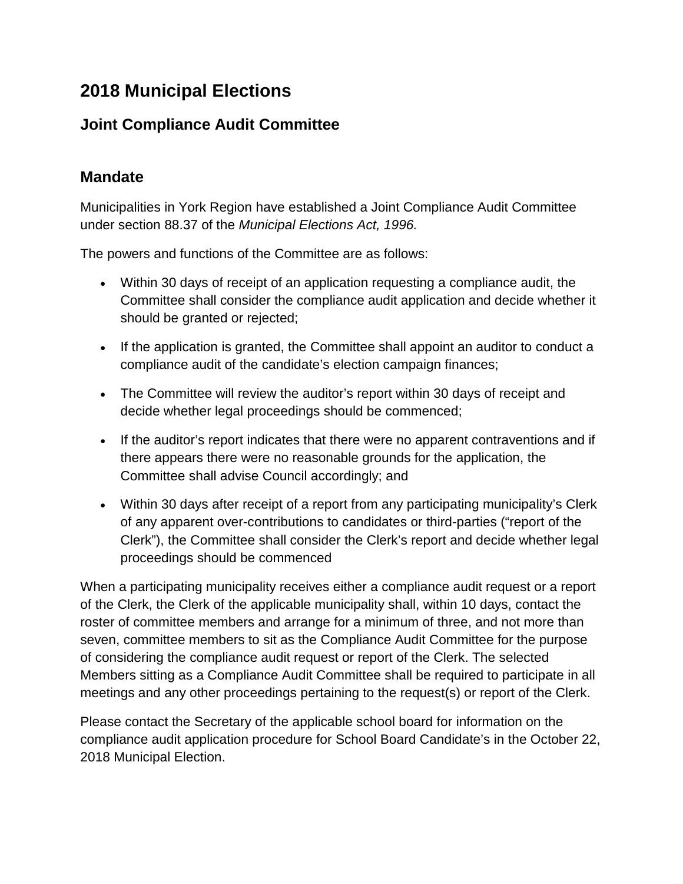# **2018 Municipal Elections**

# **Joint Compliance Audit Committee**

### **Mandate**

Municipalities in York Region have established a Joint Compliance Audit Committee under section 88.37 of the *Municipal Elections Act, 1996.*

The powers and functions of the Committee are as follows:

- Within 30 days of receipt of an application requesting a compliance audit, the Committee shall consider the compliance audit application and decide whether it should be granted or rejected;
- If the application is granted, the Committee shall appoint an auditor to conduct a compliance audit of the candidate's election campaign finances;
- The Committee will review the auditor's report within 30 days of receipt and decide whether legal proceedings should be commenced;
- If the auditor's report indicates that there were no apparent contraventions and if there appears there were no reasonable grounds for the application, the Committee shall advise Council accordingly; and
- Within 30 days after receipt of a report from any participating municipality's Clerk of any apparent over-contributions to candidates or third-parties ("report of the Clerk"), the Committee shall consider the Clerk's report and decide whether legal proceedings should be commenced

When a participating municipality receives either a compliance audit request or a report of the Clerk, the Clerk of the applicable municipality shall, within 10 days, contact the roster of committee members and arrange for a minimum of three, and not more than seven, committee members to sit as the Compliance Audit Committee for the purpose of considering the compliance audit request or report of the Clerk. The selected Members sitting as a Compliance Audit Committee shall be required to participate in all meetings and any other proceedings pertaining to the request(s) or report of the Clerk.

Please contact the Secretary of the applicable school board for information on the compliance audit application procedure for School Board Candidate's in the October 22, 2018 Municipal Election.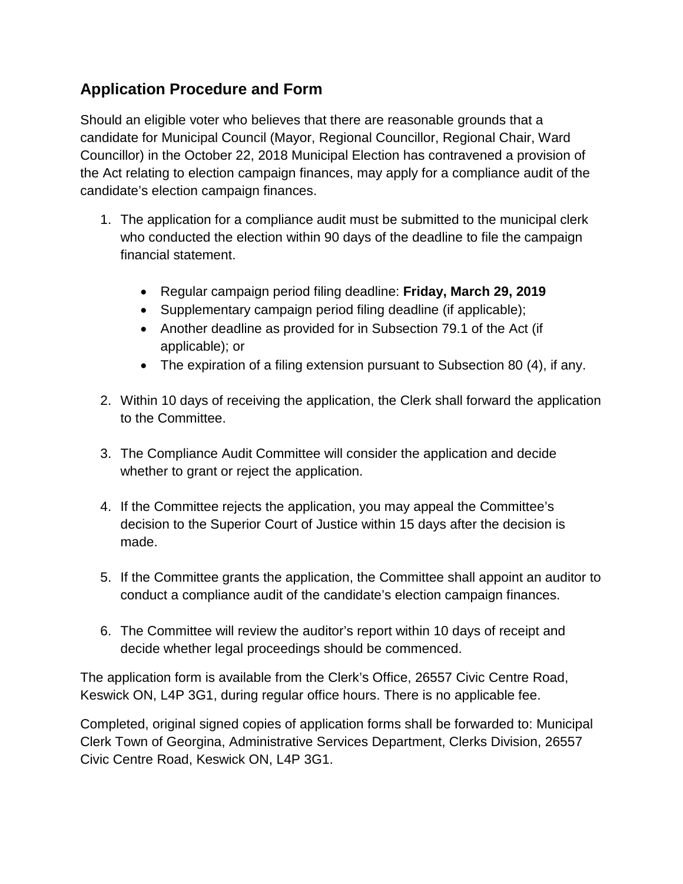## **Application Procedure and Form**

Should an eligible voter who believes that there are reasonable grounds that a candidate for Municipal Council (Mayor, Regional Councillor, Regional Chair, Ward Councillor) in the October 22, 2018 Municipal Election has contravened a provision of the Act relating to election campaign finances, may apply for a compliance audit of the candidate's election campaign finances.

- 1. The application for a compliance audit must be submitted to the municipal clerk who conducted the election within 90 days of the deadline to file the campaign financial statement.
	- Regular campaign period filing deadline: **Friday, March 29, 2019**
	- Supplementary campaign period filing deadline (if applicable);
	- Another deadline as provided for in Subsection 79.1 of the Act (if applicable); or
	- The expiration of a filing extension pursuant to Subsection 80 (4), if any.
- 2. Within 10 days of receiving the application, the Clerk shall forward the application to the Committee.
- 3. The Compliance Audit Committee will consider the application and decide whether to grant or reject the application.
- 4. If the Committee rejects the application, you may appeal the Committee's decision to the Superior Court of Justice within 15 days after the decision is made.
- 5. If the Committee grants the application, the Committee shall appoint an auditor to conduct a compliance audit of the candidate's election campaign finances.
- 6. The Committee will review the auditor's report within 10 days of receipt and decide whether legal proceedings should be commenced.

The application form is available from the Clerk's Office, 26557 Civic Centre Road, Keswick ON, L4P 3G1, during regular office hours. There is no applicable fee.

Completed, original signed copies of application forms shall be forwarded to: Municipal Clerk Town of Georgina, Administrative Services Department, Clerks Division, 26557 Civic Centre Road, Keswick ON, L4P 3G1.